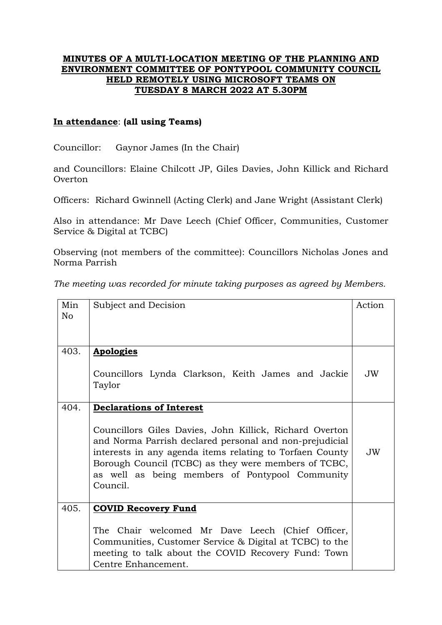## **MINUTES OF A MULTI-LOCATION MEETING OF THE PLANNING AND ENVIRONMENT COMMITTEE OF PONTYPOOL COMMUNITY COUNCIL HELD REMOTELY USING MICROSOFT TEAMS ON TUESDAY 8 MARCH 2022 AT 5.30PM**

## **In attendance**: **(all using Teams)**

Councillor: Gaynor James (In the Chair)

and Councillors: Elaine Chilcott JP, Giles Davies, John Killick and Richard Overton

Officers: Richard Gwinnell (Acting Clerk) and Jane Wright (Assistant Clerk)

Also in attendance: Mr Dave Leech (Chief Officer, Communities, Customer Service & Digital at TCBC)

Observing (not members of the committee): Councillors Nicholas Jones and Norma Parrish

*The meeting was recorded for minute taking purposes as agreed by Members.*

| Min<br>No | Subject and Decision                                                                                                                                                                                                                                                                                  | Action |
|-----------|-------------------------------------------------------------------------------------------------------------------------------------------------------------------------------------------------------------------------------------------------------------------------------------------------------|--------|
|           |                                                                                                                                                                                                                                                                                                       |        |
| 403.      | <b>Apologies</b>                                                                                                                                                                                                                                                                                      |        |
|           | Councillors Lynda Clarkson, Keith James and Jackie<br>Taylor                                                                                                                                                                                                                                          | JW     |
| 404.      | <b>Declarations of Interest</b>                                                                                                                                                                                                                                                                       |        |
|           | Councillors Giles Davies, John Killick, Richard Overton<br>and Norma Parrish declared personal and non-prejudicial<br>interests in any agenda items relating to Torfaen County<br>Borough Council (TCBC) as they were members of TCBC,<br>as well as being members of Pontypool Community<br>Council. | JW.    |
| 405.      | <b>COVID Recovery Fund</b>                                                                                                                                                                                                                                                                            |        |
|           | The Chair welcomed Mr Dave Leech (Chief Officer,<br>Communities, Customer Service & Digital at TCBC) to the<br>meeting to talk about the COVID Recovery Fund: Town<br>Centre Enhancement.                                                                                                             |        |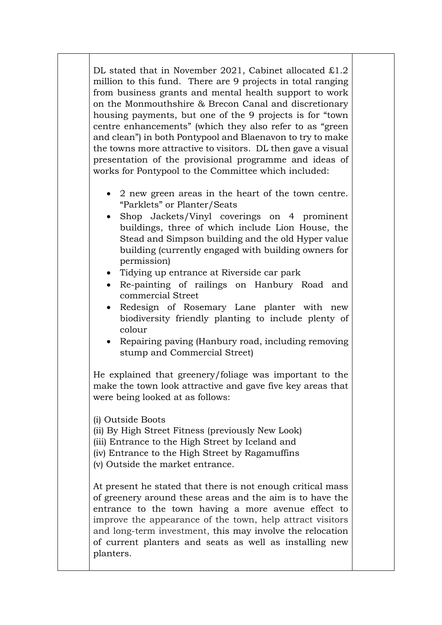DL stated that in November 2021, Cabinet allocated £1.2 million to this fund. There are 9 projects in total ranging from business grants and mental health support to work on the Monmouthshire & Brecon Canal and discretionary housing payments, but one of the 9 projects is for "town centre enhancements" (which they also refer to as "green and clean") in both Pontypool and Blaenavon to try to make the towns more attractive to visitors. DL then gave a visual presentation of the provisional programme and ideas of works for Pontypool to the Committee which included:

- 2 new green areas in the heart of the town centre. "Parklets" or Planter/Seats
- Shop Jackets/Vinyl coverings on 4 prominent buildings, three of which include Lion House, the Stead and Simpson building and the old Hyper value building (currently engaged with building owners for permission)
- Tidying up entrance at Riverside car park
- Re-painting of railings on Hanbury Road and commercial Street
- Redesign of Rosemary Lane planter with new biodiversity friendly planting to include plenty of colour
- Repairing paving (Hanbury road, including removing stump and Commercial Street)

He explained that greenery/foliage was important to the make the town look attractive and gave five key areas that were being looked at as follows:

(i) Outside Boots

(ii) By High Street Fitness (previously New Look)

(iii) Entrance to the High Street by Iceland and

(iv) Entrance to the High Street by Ragamuffins

(v) Outside the market entrance.

At present he stated that there is not enough critical mass of greenery around these areas and the aim is to have the entrance to the town having a more avenue effect to improve the appearance of the town, help attract visitors and long-term investment, this may involve the relocation of current planters and seats as well as installing new planters.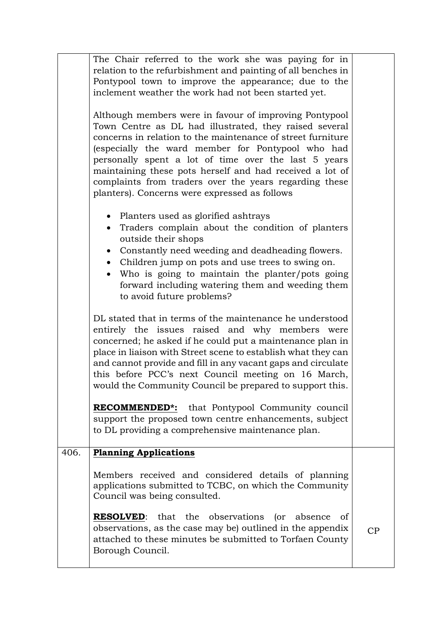|      | The Chair referred to the work she was paying for in<br>relation to the refurbishment and painting of all benches in<br>Pontypool town to improve the appearance; due to the<br>inclement weather the work had not been started yet.                                                                                                                                                                                                                                                                                                                                                          |    |
|------|-----------------------------------------------------------------------------------------------------------------------------------------------------------------------------------------------------------------------------------------------------------------------------------------------------------------------------------------------------------------------------------------------------------------------------------------------------------------------------------------------------------------------------------------------------------------------------------------------|----|
|      | Although members were in favour of improving Pontypool<br>Town Centre as DL had illustrated, they raised several<br>concerns in relation to the maintenance of street furniture<br>(especially the ward member for Pontypool who had<br>personally spent a lot of time over the last 5 years<br>maintaining these pots herself and had received a lot of<br>complaints from traders over the years regarding these<br>planters). Concerns were expressed as follows                                                                                                                           |    |
|      | • Planters used as glorified ashtrays<br>Traders complain about the condition of planters<br>outside their shops<br>• Constantly need weeding and deadheading flowers.<br>• Children jump on pots and use trees to swing on.<br>Who is going to maintain the planter/pots going<br>forward including watering them and weeding them<br>to avoid future problems?                                                                                                                                                                                                                              |    |
|      | DL stated that in terms of the maintenance he understood<br>entirely the issues raised and why members were<br>concerned; he asked if he could put a maintenance plan in<br>place in liaison with Street scene to establish what they can<br>and cannot provide and fill in any vacant gaps and circulate<br>this before PCC's next Council meeting on 16 March,<br>would the Community Council be prepared to support this.<br>RECOMMENDED*: that Pontypool Community council<br>support the proposed town centre enhancements, subject<br>to DL providing a comprehensive maintenance plan. |    |
| 406. | <b>Planning Applications</b>                                                                                                                                                                                                                                                                                                                                                                                                                                                                                                                                                                  |    |
|      | Members received and considered details of planning<br>applications submitted to TCBC, on which the Community<br>Council was being consulted.                                                                                                                                                                                                                                                                                                                                                                                                                                                 |    |
|      | <b>RESOLVED:</b> that the observations<br>(<br>absence<br>of<br>observations, as the case may be) outlined in the appendix<br>attached to these minutes be submitted to Torfaen County<br>Borough Council.                                                                                                                                                                                                                                                                                                                                                                                    | CP |